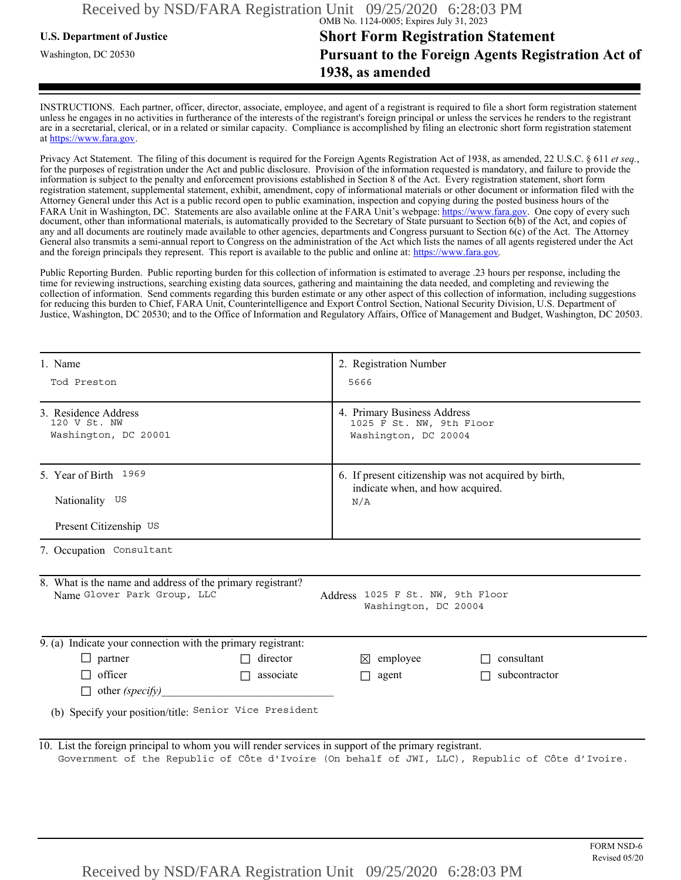## **U.S. Department of Justice Short Form Registration Statement** Washington, DC 20530 **Pursuant to the Foreign Agents Registration Act of 1938, as amended**

INSTRUCTIONS. Each partner, officer, director, associate, employee, and agent of a registrant is required to file a short form registration statement unless he engages in no activities in furtherance of the interests of the registrant's foreign principal or unless the services he renders to the registrant are in a secretarial, clerical, or in a related or similar capacity. Compliance is accomplished by filing an electronic short form registration statement at https://www.fara.gov.

Privacy Act Statement. The filing of this document is required for the Foreign Agents Registration Act of 1938, as amended, 22 U.S.C. § 611 *et seq.*, for the purposes of registration under the Act and public disclosure. Provision of the information requested is mandatory, and failure to provide the information is subject to the penalty and enforcement provisions established in Section 8 of the Act. Every registration statement, short form registration statement, supplemental statement, exhibit, amendment, copy of informational materials or other document or information filed with the Attorney General under this Act is a public record open to public examination, inspection and copying during the posted business hours of the FARA Unit in Washington, DC. Statements are also available online at the FARA Unit's webpage: https://www.fara.gov. One copy of every such document, other than informational materials, is automatically provided to the Secretary of State pursuant to Section 6(b) of the Act, and copies of any and all documents are routinely made available to other agencies, departments and Congress pursuant to Section 6(c) of the Act. The Attorney General also transmits a semi-annual report to Congress on the administration of the Act which lists the names of all agents registered under the Act and the foreign principals they represent. This report is available to the public and online at: https://www.fara.gov.

Public Reporting Burden. Public reporting burden for this collection of information is estimated to average .23 hours per response, including the time for reviewing instructions, searching existing data sources, gathering and maintaining the data needed, and completing and reviewing the collection of information. Send comments regarding this burden estimate or any other aspect of this collection of information, including suggestions for reducing this burden to Chief, FARA Unit, Counterintelligence and Export Control Section, National Security Division, U.S. Department of Justice, Washington, DC 20530; and to the Office of Information and Regulatory Affairs, Office of Management and Budget, Washington, DC 20503.

| 1. Name<br>Tod Preston<br>3. Residence Address<br>120 V St. NW<br>Washington, DC 20001                                                                                                                   |                  | 2. Registration Number<br>5666<br>4. Primary Business Address<br>1025 F St. NW, 9th Floor<br>Washington, DC 20004 |                      |                                    |                       |  |                                                                                                 |  |  |
|----------------------------------------------------------------------------------------------------------------------------------------------------------------------------------------------------------|------------------|-------------------------------------------------------------------------------------------------------------------|----------------------|------------------------------------|-----------------------|--|-------------------------------------------------------------------------------------------------|--|--|
|                                                                                                                                                                                                          |                  |                                                                                                                   |                      |                                    | 5. Year of Birth 1969 |  | 6. If present citizenship was not acquired by birth,<br>indicate when, and how acquired.<br>N/A |  |  |
|                                                                                                                                                                                                          |                  |                                                                                                                   |                      |                                    | Nationality US        |  |                                                                                                 |  |  |
| Present Citizenship US                                                                                                                                                                                   |                  |                                                                                                                   |                      |                                    |                       |  |                                                                                                 |  |  |
| 7. Occupation Consultant                                                                                                                                                                                 |                  |                                                                                                                   |                      |                                    |                       |  |                                                                                                 |  |  |
| 8. What is the name and address of the primary registrant?<br>Name Glover Park Group, LLC                                                                                                                |                  | Address 1025 F St. NW, 9th Floor<br>Washington, DC 20004                                                          |                      |                                    |                       |  |                                                                                                 |  |  |
| 9. (a) Indicate your connection with the primary registrant:                                                                                                                                             |                  |                                                                                                                   |                      |                                    |                       |  |                                                                                                 |  |  |
| $\Box$ partner                                                                                                                                                                                           | $\Box$ director  | $\boxtimes$ employee                                                                                              | $\Box$ consultant    |                                    |                       |  |                                                                                                 |  |  |
| $\Box$ officer                                                                                                                                                                                           | $\Box$ associate | $\Box$ agent                                                                                                      | $\Box$ subcontractor |                                    |                       |  |                                                                                                 |  |  |
| $\Box$ other (specify)                                                                                                                                                                                   |                  |                                                                                                                   |                      |                                    |                       |  |                                                                                                 |  |  |
| (b) Specify your position/title: Senior Vice President                                                                                                                                                   |                  |                                                                                                                   |                      |                                    |                       |  |                                                                                                 |  |  |
| 10. List the foreign principal to whom you will render services in support of the primary registrant.<br>Government of the Republic of Côte d'Ivoire (On behalf of JWI, LLC), Republic of Côte d'Ivoire. |                  |                                                                                                                   |                      |                                    |                       |  |                                                                                                 |  |  |
| Received by NSD/FARA Registration Unit 09/25/2020 6:28:03 PM                                                                                                                                             |                  |                                                                                                                   |                      | <b>FORM NSD-6</b><br>Revised 05/20 |                       |  |                                                                                                 |  |  |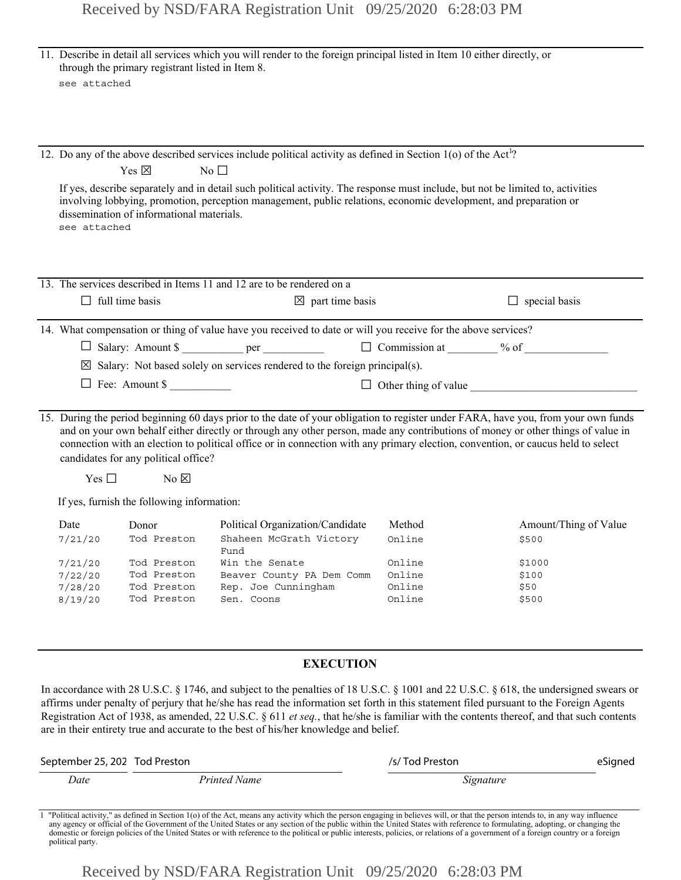| see attached                                                | through the primary registrant listed in Item 8.                                 | 11. Describe in detail all services which you will render to the foreign principal listed in Item 10 either directly, or                                                                                                                                                                                                                                                                          |                                                          |                                                                                                                                    |  |  |
|-------------------------------------------------------------|----------------------------------------------------------------------------------|---------------------------------------------------------------------------------------------------------------------------------------------------------------------------------------------------------------------------------------------------------------------------------------------------------------------------------------------------------------------------------------------------|----------------------------------------------------------|------------------------------------------------------------------------------------------------------------------------------------|--|--|
| see attached                                                | Yes $\boxtimes$<br>dissemination of informational materials.                     | 12. Do any of the above described services include political activity as defined in Section 1(o) of the Act <sup>1</sup> ?<br>No $\square$<br>If yes, describe separately and in detail such political activity. The response must include, but not be limited to, activities<br>involving lobbying, promotion, perception management, public relations, economic development, and preparation or |                                                          |                                                                                                                                    |  |  |
|                                                             | $\Box$ full time basis                                                           | 13. The services described in Items 11 and 12 are to be rendered on a<br>$\boxtimes$ part time basis                                                                                                                                                                                                                                                                                              |                                                          | $\Box$ special basis                                                                                                               |  |  |
|                                                             | $\Box$ Fee: Amount \$                                                            | 14. What compensation or thing of value have you received to date or will you receive for the above services?<br>□ Salary: Amount \$ __________ per ___________________ □ Commission at _______ % of _______________<br>$\boxtimes$ Salary: Not based solely on services rendered to the foreign principal(s).                                                                                    |                                                          |                                                                                                                                    |  |  |
| Yes $\square$                                               | candidates for any political office?<br>$No \boxtimes$                           | and on your own behalf either directly or through any other person, made any contributions of money or other things of value in<br>connection with an election to political office or in connection with any primary election, convention, or caucus held to select                                                                                                                               |                                                          | 15. During the period beginning 60 days prior to the date of your obligation to register under FARA, have you, from your own funds |  |  |
|                                                             | If yes, furnish the following information:                                       |                                                                                                                                                                                                                                                                                                                                                                                                   |                                                          |                                                                                                                                    |  |  |
| Date<br>7/21/20<br>7/21/20<br>7/22/20<br>7/28/20<br>8/19/20 | Donor<br>Tod Preston<br>Tod Preston<br>Tod Preston<br>Tod Preston<br>Tod Preston | Political Organization/Candidate<br>Shaheen McGrath Victory<br>Fund<br>Win the Senate<br>Beaver County PA Dem Comm<br>Rep. Joe Cunningham<br>Sen. Coons                                                                                                                                                                                                                                           | Method<br>Online<br>Online<br>Online<br>Online<br>Online | Amount/Thing of Value<br>\$500<br>\$1000<br>\$100<br>\$50<br>\$500                                                                 |  |  |
| <b>EXECUTION</b>                                            |                                                                                  |                                                                                                                                                                                                                                                                                                                                                                                                   |                                                          |                                                                                                                                    |  |  |

In accordance with 28 U.S.C. § 1746, and subject to the penalties of 18 U.S.C. § 1001 and 22 U.S.C. § 618, the undersigned swears or affirms under penalty of perjury that he/she has read the information set forth in this statement filed pursuant to the Foreign Agents Registration Act of 1938, as amended, 22 U.S.C. § 611 *et seq.*, that he/she is familiar with the contents thereof, and that such contents are in their entirety true and accurate to the best of his/her knowledge and belief.

| September 25, 202 Tod Preston |                     | /s/Tod Preston | eSigned |
|-------------------------------|---------------------|----------------|---------|
| Date                          | <b>Printed Name</b> | Signature      |         |

Political activity," as defined in Section 1(o) of the Act, means any activity which the person engaging in believes will, or that the person intends to, in any way influence any agency or official of the Government of the domestic or foreign policies of the United States or with reference to the political or public interests, policies, or relations of a government of a foreign country or a foreign political party.

Received by NSD/FARA Registration Unit 09/25/2020 6:28:03 PM